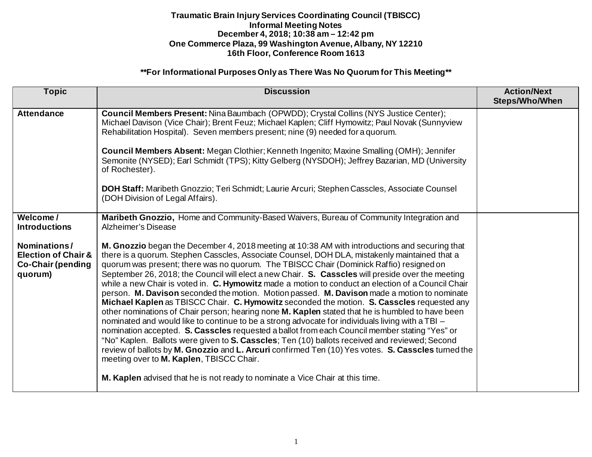### **\*\*For Informational Purposes Only as There Was No Quorum for This Meeting\*\***

| <b>Topic</b>                                                                                                              | <b>Discussion</b>                                                                                                                                                                                                                                                                                                                                                                                                                                                                                                                                                                                                                                                                                                                                                                                                                                                                                                                                                                                                                                                                                                                                                                                                                                                                                                                                                                                                                                                         | <b>Action/Next</b><br>Steps/Who/When |
|---------------------------------------------------------------------------------------------------------------------------|---------------------------------------------------------------------------------------------------------------------------------------------------------------------------------------------------------------------------------------------------------------------------------------------------------------------------------------------------------------------------------------------------------------------------------------------------------------------------------------------------------------------------------------------------------------------------------------------------------------------------------------------------------------------------------------------------------------------------------------------------------------------------------------------------------------------------------------------------------------------------------------------------------------------------------------------------------------------------------------------------------------------------------------------------------------------------------------------------------------------------------------------------------------------------------------------------------------------------------------------------------------------------------------------------------------------------------------------------------------------------------------------------------------------------------------------------------------------------|--------------------------------------|
| <b>Attendance</b>                                                                                                         | Council Members Present: Nina Baumbach (OPWDD); Crystal Collins (NYS Justice Center);<br>Michael Davison (Vice Chair); Brent Feuz; Michael Kaplen; Cliff Hymowitz; Paul Novak (Sunnyview<br>Rehabilitation Hospital). Seven members present; nine (9) needed for a quorum.<br>Council Members Absent: Megan Clothier; Kenneth Ingenito; Maxine Smalling (OMH); Jennifer<br>Semonite (NYSED); Earl Schmidt (TPS); Kitty Gelberg (NYSDOH); Jeffrey Bazarian, MD (University<br>of Rochester).<br>DOH Staff: Maribeth Gnozzio; Teri Schmidt; Laurie Arcuri; Stephen Casscles, Associate Counsel<br>(DOH Division of Legal Affairs).                                                                                                                                                                                                                                                                                                                                                                                                                                                                                                                                                                                                                                                                                                                                                                                                                                          |                                      |
| Welcome/<br><b>Introductions</b><br>Nominations/<br><b>Election of Chair &amp;</b><br><b>Co-Chair (pending</b><br>quorum) | Maribeth Gnozzio, Home and Community-Based Waivers, Bureau of Community Integration and<br>Alzheimer's Disease<br>M. Gnozzio began the December 4, 2018 meeting at 10:38 AM with introductions and securing that<br>there is a quorum. Stephen Casscles, Associate Counsel, DOH DLA, mistakenly maintained that a<br>quorum was present; there was no quorum. The TBISCC Chair (Dominick Raffio) resigned on<br>September 26, 2018; the Council will elect a new Chair. S. Casscles will preside over the meeting<br>while a new Chair is voted in. C. Hymowitz made a motion to conduct an election of a Council Chair<br>person. M. Davison seconded the motion. Motion passed. M. Davison made a motion to nominate<br>Michael Kaplen as TBISCC Chair. C. Hymowitz seconded the motion. S. Casscles requested any<br>other nominations of Chair person; hearing none <b>M. Kaplen</b> stated that he is humbled to have been<br>nominated and would like to continue to be a strong advocate for individuals living with a TBI -<br>nomination accepted. S. Casscles requested a ballot from each Council member stating "Yes" or<br>"No" Kaplen. Ballots were given to S. Casscles; Ten (10) ballots received and reviewed; Second<br>review of ballots by M. Gnozzio and L. Arcuri confirmed Ten (10) Yes votes. S. Casscles turned the<br>meeting over to M. Kaplen, TBISCC Chair.<br>M. Kaplen advised that he is not ready to nominate a Vice Chair at this time. |                                      |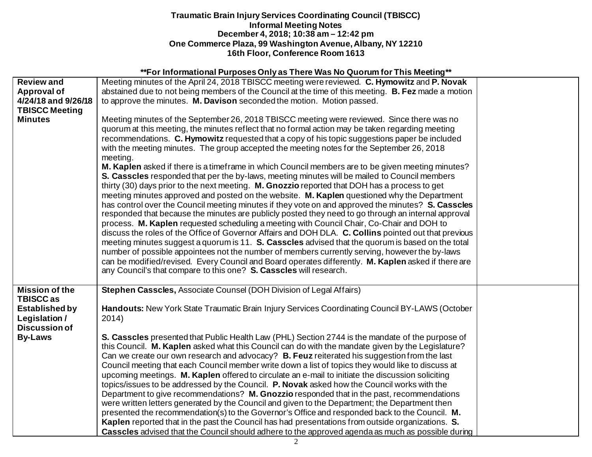| ** For Informational Purposes Only as There Was No Quorum for This Meeting** |                                                                                                       |  |  |  |
|------------------------------------------------------------------------------|-------------------------------------------------------------------------------------------------------|--|--|--|
| <b>Review and</b>                                                            | Meeting minutes of the April 24, 2018 TBISCC meeting were reviewed. C. Hymowitz and P. Novak          |  |  |  |
| <b>Approval of</b>                                                           | abstained due to not being members of the Council at the time of this meeting. B. Fez made a motion   |  |  |  |
| 4/24/18 and 9/26/18                                                          | to approve the minutes. M. Davison seconded the motion. Motion passed.                                |  |  |  |
| <b>TBISCC Meeting</b>                                                        |                                                                                                       |  |  |  |
| <b>Minutes</b>                                                               | Meeting minutes of the September 26, 2018 TBISCC meeting were reviewed. Since there was no            |  |  |  |
|                                                                              | quorum at this meeting, the minutes reflect that no formal action may be taken regarding meeting      |  |  |  |
|                                                                              | recommendations. C. Hymowitz requested that a copy of his topic suggestions paper be included         |  |  |  |
|                                                                              | with the meeting minutes. The group accepted the meeting notes for the September 26, 2018             |  |  |  |
|                                                                              | meeting.                                                                                              |  |  |  |
|                                                                              | M. Kaplen asked if there is a timeframe in which Council members are to be given meeting minutes?     |  |  |  |
|                                                                              | S. Casscles responded that per the by-laws, meeting minutes will be mailed to Council members         |  |  |  |
|                                                                              | thirty (30) days prior to the next meeting. M. Gnozzio reported that DOH has a process to get         |  |  |  |
|                                                                              | meeting minutes approved and posted on the website. M. Kaplen questioned why the Department           |  |  |  |
|                                                                              | has control over the Council meeting minutes if they vote on and approved the minutes? S. Casscles    |  |  |  |
|                                                                              | responded that because the minutes are publicly posted they need to go through an internal approval   |  |  |  |
|                                                                              | process. M. Kaplen requested scheduling a meeting with Council Chair, Co-Chair and DOH to             |  |  |  |
|                                                                              | discuss the roles of the Office of Governor Affairs and DOH DLA. C. Collins pointed out that previous |  |  |  |
|                                                                              | meeting minutes suggest a quorum is 11. S. Casscles advised that the quorum is based on the total     |  |  |  |
|                                                                              | number of possible appointees not the number of members currently serving, however the by-laws        |  |  |  |
|                                                                              | can be modified/revised. Every Council and Board operates differently. M. Kaplen asked if there are   |  |  |  |
|                                                                              | any Council's that compare to this one? S. Casscles will research.                                    |  |  |  |
|                                                                              |                                                                                                       |  |  |  |
| <b>Mission of the</b>                                                        | Stephen Casscles, Associate Counsel (DOH Division of Legal Affairs)                                   |  |  |  |
| <b>TBISCC as</b>                                                             |                                                                                                       |  |  |  |
| <b>Established by</b>                                                        | Handouts: New York State Traumatic Brain Injury Services Coordinating Council BY-LAWS (October        |  |  |  |
| Legislation /                                                                | 2014)                                                                                                 |  |  |  |
| <b>Discussion of</b>                                                         |                                                                                                       |  |  |  |
| <b>By-Laws</b>                                                               | S. Casscles presented that Public Health Law (PHL) Section 2744 is the mandate of the purpose of      |  |  |  |
|                                                                              | this Council. M. Kaplen asked what this Council can do with the mandate given by the Legislature?     |  |  |  |
|                                                                              | Can we create our own research and advocacy? B. Feuz reiterated his suggestion from the last          |  |  |  |
|                                                                              | Council meeting that each Council member write down a list of topics they would like to discuss at    |  |  |  |
|                                                                              | upcoming meetings. M. Kaplen offered to circulate an e-mail to initiate the discussion soliciting     |  |  |  |
|                                                                              | topics/issues to be addressed by the Council. P. Novak asked how the Council works with the           |  |  |  |
|                                                                              | Department to give recommendations? M. Gnozzio responded that in the past, recommendations            |  |  |  |
|                                                                              | were written letters generated by the Council and given to the Department; the Department then        |  |  |  |
|                                                                              | presented the recommendation(s) to the Governor's Office and responded back to the Council. M.        |  |  |  |
|                                                                              | Kaplen reported that in the past the Council has had presentations from outside organizations. S.     |  |  |  |
|                                                                              | Casscles advised that the Council should adhere to the approved agenda as much as possible during     |  |  |  |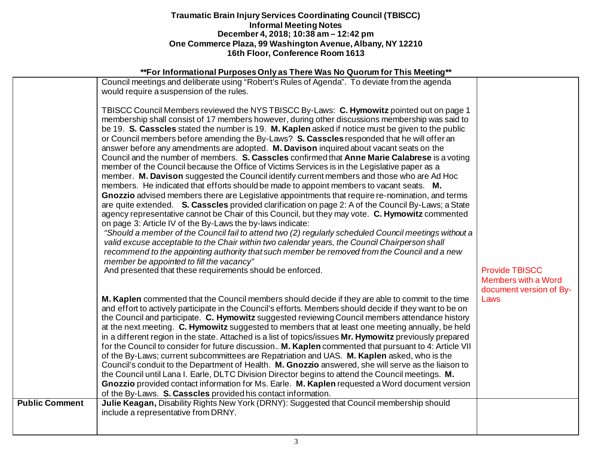# **\*\*For Informational Purposes Only as There Was No Quorum for This Meeting\*\***

|                       | <u>t of implificulture argueologing</u> as there has no gabrain for this moding                                                                                                                                                                                                                                                                                                                                                                                                                                                                                                                                                                                                                                                                                                                                                                                                                                                                                                                                                                                                                                                                                                                                                                                                                                                                                                                                                                                                                                                                                                                                                                                                         |                                                       |
|-----------------------|-----------------------------------------------------------------------------------------------------------------------------------------------------------------------------------------------------------------------------------------------------------------------------------------------------------------------------------------------------------------------------------------------------------------------------------------------------------------------------------------------------------------------------------------------------------------------------------------------------------------------------------------------------------------------------------------------------------------------------------------------------------------------------------------------------------------------------------------------------------------------------------------------------------------------------------------------------------------------------------------------------------------------------------------------------------------------------------------------------------------------------------------------------------------------------------------------------------------------------------------------------------------------------------------------------------------------------------------------------------------------------------------------------------------------------------------------------------------------------------------------------------------------------------------------------------------------------------------------------------------------------------------------------------------------------------------|-------------------------------------------------------|
|                       | Council meetings and deliberate using "Robert's Rules of Agenda". To deviate from the agenda<br>would require a suspension of the rules.                                                                                                                                                                                                                                                                                                                                                                                                                                                                                                                                                                                                                                                                                                                                                                                                                                                                                                                                                                                                                                                                                                                                                                                                                                                                                                                                                                                                                                                                                                                                                |                                                       |
|                       | TBISCC Council Members reviewed the NYS TBISCC By-Laws: C. Hymowitz pointed out on page 1<br>membership shall consist of 17 members however, during other discussions membership was said to<br>be 19. S. Casscles stated the number is 19. M. Kaplen asked if notice must be given to the public<br>or Council members before amending the By-Laws? S. Casscles responded that he will offer an<br>answer before any amendments are adopted. M. Davison inquired about vacant seats on the<br>Council and the number of members. S. Casscles confirmed that Anne Marie Calabrese is a voting<br>member of the Council because the Office of Victims Services is in the Legislative paper as a<br>member. M. Davison suggested the Council identify current members and those who are Ad Hoc<br>members. He indicated that efforts should be made to appoint members to vacant seats. M.<br>Gnozzio advised members there are Legislative appointments that require re-nomination, and terms<br>are quite extended. S. Casscles provided clarification on page 2: A of the Council By-Laws; a State<br>agency representative cannot be Chair of this Council, but they may vote. C. Hymowitz commented<br>on page 3: Article IV of the By-Laws the by-laws indicate:<br>"Should a member of the Council fail to attend two (2) regularly scheduled Council meetings without a<br>valid excuse acceptable to the Chair within two calendar years, the Council Chairperson shall<br>recommend to the appointing authority that such member be removed from the Council and a new<br>member be appointed to fill the vacancy"<br>And presented that these requirements should be enforced. | <b>Provide TBISCC</b>                                 |
|                       |                                                                                                                                                                                                                                                                                                                                                                                                                                                                                                                                                                                                                                                                                                                                                                                                                                                                                                                                                                                                                                                                                                                                                                                                                                                                                                                                                                                                                                                                                                                                                                                                                                                                                         | <b>Members with a Word</b><br>document version of By- |
|                       | M. Kaplen commented that the Council members should decide if they are able to commit to the time<br>and effort to actively participate in the Council's efforts. Members should decide if they want to be on<br>the Council and participate. C. Hymowitz suggested reviewing Council members attendance history<br>at the next meeting. C. Hymowitz suggested to members that at least one meeting annually, be held<br>in a different region in the state. Attached is a list of topics/issues Mr. Hymowitz previously prepared<br>for the Council to consider for future discussion M. Kaplen commented that pursuant to 4: Article VII<br>of the By-Laws; current subcommittees are Repatriation and UAS. M. Kaplen asked, who is the<br>Council's conduit to the Department of Health. M. Gnozzio answered, she will serve as the liaison to<br>the Council until Lana I. Earle, DLTC Division Director begins to attend the Council meetings. M.<br>Gnozzio provided contact information for Ms. Earle. M. Kaplen requested a Word document version<br>of the By-Laws. S. Casscles provided his contact information.                                                                                                                                                                                                                                                                                                                                                                                                                                                                                                                                                              | Laws                                                  |
| <b>Public Comment</b> | Julie Keagan, Disability Rights New York (DRNY): Suggested that Council membership should<br>include a representative from DRNY.                                                                                                                                                                                                                                                                                                                                                                                                                                                                                                                                                                                                                                                                                                                                                                                                                                                                                                                                                                                                                                                                                                                                                                                                                                                                                                                                                                                                                                                                                                                                                        |                                                       |
|                       |                                                                                                                                                                                                                                                                                                                                                                                                                                                                                                                                                                                                                                                                                                                                                                                                                                                                                                                                                                                                                                                                                                                                                                                                                                                                                                                                                                                                                                                                                                                                                                                                                                                                                         |                                                       |